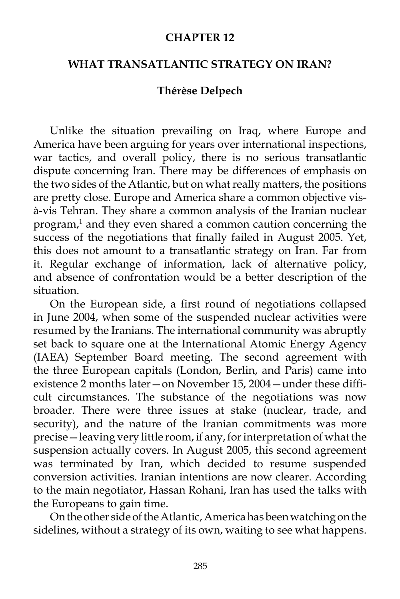### **CHAPTER 12**

### **WHAT TRANSATLANTIC STRATEGY ON IRAN?**

## **Thérèse Delpech**

 Unlike the situation prevailing on Iraq, where Europe and America have been arguing for years over international inspections, war tactics, and overall policy, there is no serious transatlantic dispute concerning Iran. There may be differences of emphasis on the two sides of the Atlantic, but on what really matters, the positions are pretty close. Europe and America share a common objective visà-vis Tehran. They share a common analysis of the Iranian nuclear program,<sup>1</sup> and they even shared a common caution concerning the success of the negotiations that finally failed in August 2005. Yet, this does not amount to a transatlantic strategy on Iran. Far from it. Regular exchange of information, lack of alternative policy, and absence of confrontation would be a better description of the situation.

On the European side, a first round of negotiations collapsed in June 2004, when some of the suspended nuclear activities were resumed by the Iranians. The international community was abruptly set back to square one at the International Atomic Energy Agency (IAEA) September Board meeting. The second agreement with the three European capitals (London, Berlin, and Paris) came into existence 2 months later—on November 15, 2004—under these difficult circumstances. The substance of the negotiations was now broader. There were three issues at stake (nuclear, trade, and security), and the nature of the Iranian commitments was more precise—leaving very little room, if any, for interpretation of what the suspension actually covers. In August 2005, this second agreement was terminated by Iran, which decided to resume suspended conversion activities. Iranian intentions are now clearer. According to the main negotiator, Hassan Rohani, Iran has used the talks with the Europeans to gain time.

 On the other side of the Atlantic, America has been watching on the sidelines, without a strategy of its own, waiting to see what happens.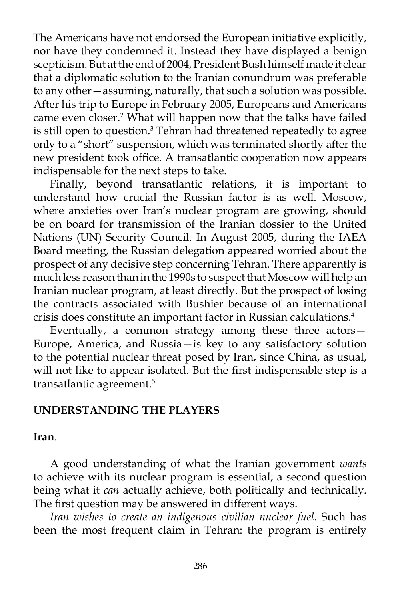The Americans have not endorsed the European initiative explicitly, nor have they condemned it. Instead they have displayed a benign scepticism. But at the end of 2004, President Bush himself made it clear that a diplomatic solution to the Iranian conundrum was preferable to any other—assuming, naturally, that such a solution was possible. After his trip to Europe in February 2005, Europeans and Americans came even closer.<sup>2</sup> What will happen now that the talks have failed is still open to question.<sup>3</sup> Tehran had threatened repeatedly to agree only to a "short" suspension, which was terminated shortly after the new president took office. A transatlantic cooperation now appears indispensable for the next steps to take.

 Finally, beyond transatlantic relations, it is important to understand how crucial the Russian factor is as well. Moscow, where anxieties over Iran's nuclear program are growing, should be on board for transmission of the Iranian dossier to the United Nations (UN) Security Council. In August 2005, during the IAEA Board meeting, the Russian delegation appeared worried about the prospect of any decisive step concerning Tehran. There apparently is much less reason than in the 1990s to suspect that Moscow will help an Iranian nuclear program, at least directly. But the prospect of losing the contracts associated with Bushier because of an international crisis does constitute an important factor in Russian calculations.4

 Eventually, a common strategy among these three actors— Europe, America, and Russia—is key to any satisfactory solution to the potential nuclear threat posed by Iran, since China, as usual, will not like to appear isolated. But the first indispensable step is a transatlantic agreement.<sup>5</sup>

## **UNDERSTANDING THE PLAYERS**

### **Iran**.

 A good understanding of what the Iranian government *wants* to achieve with its nuclear program is essential; a second question being what it *can* actually achieve, both politically and technically. The first question may be answered in different ways.

*Iran wishes to create an indigenous civilian nuclear fuel.* Such has been the most frequent claim in Tehran: the program is entirely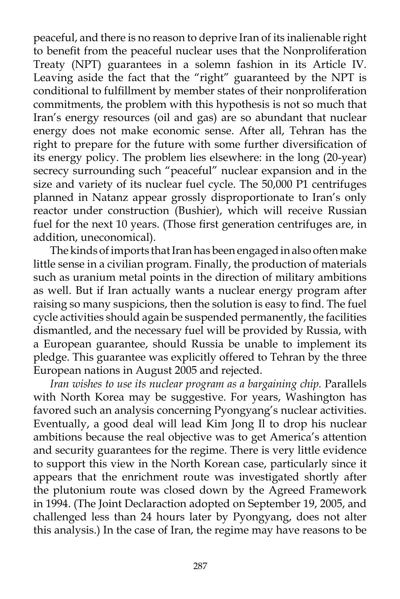peaceful, and there is no reason to deprive Iran of its inalienable right to benefit from the peaceful nuclear uses that the Nonproliferation Treaty (NPT) guarantees in a solemn fashion in its Article IV. Leaving aside the fact that the "right" guaranteed by the NPT is conditional to fulfillment by member states of their nonproliferation commitments, the problem with this hypothesis is not so much that Iran's energy resources (oil and gas) are so abundant that nuclear energy does not make economic sense. After all, Tehran has the right to prepare for the future with some further diversification of its energy policy. The problem lies elsewhere: in the long (20-year) secrecy surrounding such "peaceful" nuclear expansion and in the size and variety of its nuclear fuel cycle. The 50,000 P1 centrifuges planned in Natanz appear grossly disproportionate to Iran's only reactor under construction (Bushier), which will receive Russian fuel for the next 10 years. (Those first generation centrifuges are, in addition, uneconomical).

 The kinds of imports that Iran has been engaged in also often make little sense in a civilian program. Finally, the production of materials such as uranium metal points in the direction of military ambitions as well. But if Iran actually wants a nuclear energy program after raising so many suspicions, then the solution is easy to find. The fuel cycle activities should again be suspended permanently, the facilities dismantled, and the necessary fuel will be provided by Russia, with a European guarantee, should Russia be unable to implement its pledge. This guarantee was explicitly offered to Tehran by the three European nations in August 2005 and rejected.

Iran wishes to use its nuclear program as a bargaining chip. Parallels with North Korea may be suggestive. For years, Washington has favored such an analysis concerning Pyongyang's nuclear activities. Eventually, a good deal will lead Kim Jong Il to drop his nuclear ambitions because the real objective was to get America's attention and security guarantees for the regime. There is very little evidence to support this view in the North Korean case, particularly since it appears that the enrichment route was investigated shortly after the plutonium route was closed down by the Agreed Framework in 1994. (The Joint Declaraction adopted on September 19, 2005, and challenged less than 24 hours later by Pyongyang, does not alter this analysis.) In the case of Iran, the regime may have reasons to be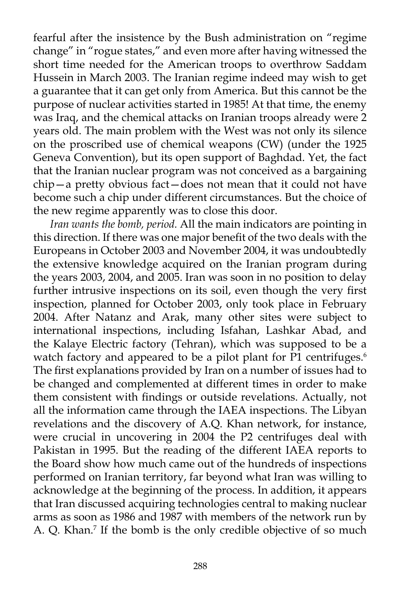fearful after the insistence by the Bush administration on "regime change" in "rogue states," and even more after having witnessed the short time needed for the American troops to overthrow Saddam Hussein in March 2003. The Iranian regime indeed may wish to get a guarantee that it can get only from America. But this cannot be the purpose of nuclear activities started in 1985! At that time, the enemy was Iraq, and the chemical attacks on Iranian troops already were 2 years old. The main problem with the West was not only its silence on the proscribed use of chemical weapons (CW) (under the 1925 Geneva Convention), but its open support of Baghdad. Yet, the fact that the Iranian nuclear program was not conceived as a bargaining chip—a pretty obvious fact—does not mean that it could not have become such a chip under different circumstances. But the choice of the new regime apparently was to close this door.

*Iran wants the bomb, period.* All the main indicators are pointing in this direction. If there was one major benefit of the two deals with the Europeans in October 2003 and November 2004, it was undoubtedly the extensive knowledge acquired on the Iranian program during the years 2003, 2004, and 2005. Iran was soon in no position to delay further intrusive inspections on its soil, even though the very first inspection, planned for October 2003, only took place in February 2004. After Natanz and Arak, many other sites were subject to international inspections, including Isfahan, Lashkar Abad, and the Kalaye Electric factory (Tehran), which was supposed to be a watch factory and appeared to be a pilot plant for P1 centrifuges.<sup>6</sup> The first explanations provided by Iran on a number of issues had to be changed and complemented at different times in order to make them consistent with findings or outside revelations. Actually, not all the information came through the IAEA inspections. The Libyan revelations and the discovery of A.Q. Khan network, for instance, were crucial in uncovering in 2004 the P2 centrifuges deal with Pakistan in 1995. But the reading of the different IAEA reports to the Board show how much came out of the hundreds of inspections performed on Iranian territory, far beyond what Iran was willing to acknowledge at the beginning of the process. In addition, it appears that Iran discussed acquiring technologies central to making nuclear arms as soon as 1986 and 1987 with members of the network run by A. Q. Khan.<sup>7</sup> If the bomb is the only credible objective of so much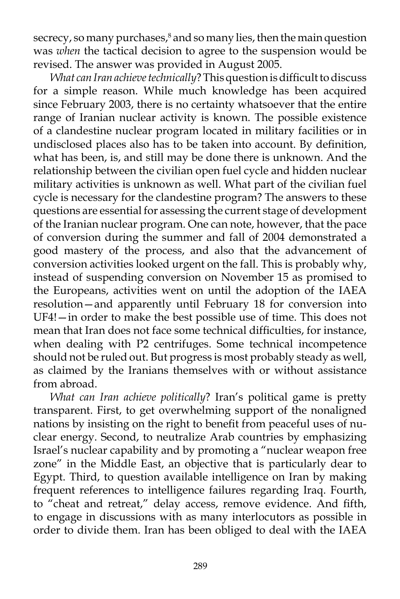secrecy, so many purchases,<sup>8</sup> and so many lies, then the main question was *when* the tactical decision to agree to the suspension would be revised. The answer was provided in August 2005.

*What can Iran achieve technically*? This question is difficult to discuss for a simple reason. While much knowledge has been acquired since February 2003, there is no certainty whatsoever that the entire range of Iranian nuclear activity is known. The possible existence of a clandestine nuclear program located in military facilities or in undisclosed places also has to be taken into account. By definition, what has been, is, and still may be done there is unknown. And the relationship between the civilian open fuel cycle and hidden nuclear military activities is unknown as well. What part of the civilian fuel cycle is necessary for the clandestine program? The answers to these questions are essential for assessing the current stage of development of the Iranian nuclear program. One can note, however, that the pace of conversion during the summer and fall of 2004 demonstrated a good mastery of the process, and also that the advancement of conversion activities looked urgent on the fall. This is probably why, instead of suspending conversion on November 15 as promised to the Europeans, activities went on until the adoption of the IAEA resolution—and apparently until February 18 for conversion into UF4!—in order to make the best possible use of time. This does not mean that Iran does not face some technical difficulties, for instance, when dealing with P2 centrifuges. Some technical incompetence should not be ruled out. But progress is most probably steady as well, as claimed by the Iranians themselves with or without assistance from abroad.

*What can Iran achieve politically*? Iran's political game is pretty transparent. First, to get overwhelming support of the nonaligned nations by insisting on the right to benefit from peaceful uses of nuclear energy. Second, to neutralize Arab countries by emphasizing Israel's nuclear capability and by promoting a "nuclear weapon free zone" in the Middle East, an objective that is particularly dear to Egypt. Third, to question available intelligence on Iran by making frequent references to intelligence failures regarding Iraq. Fourth, to "cheat and retreat," delay access, remove evidence. And fifth, to engage in discussions with as many interlocutors as possible in order to divide them. Iran has been obliged to deal with the IAEA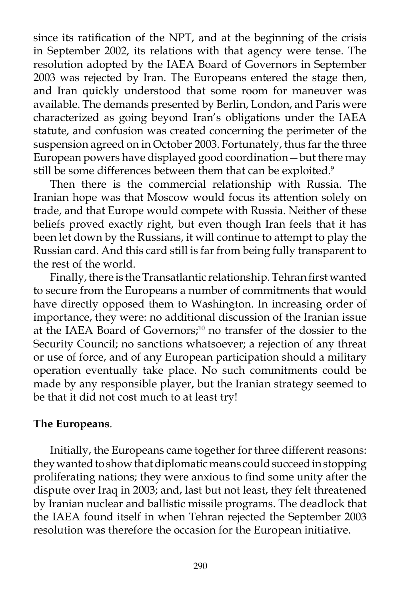since its ratification of the NPT, and at the beginning of the crisis in September 2002, its relations with that agency were tense. The resolution adopted by the IAEA Board of Governors in September 2003 was rejected by Iran. The Europeans entered the stage then, and Iran quickly understood that some room for maneuver was available. The demands presented by Berlin, London, and Paris were characterized as going beyond Iran's obligations under the IAEA statute, and confusion was created concerning the perimeter of the suspension agreed on in October 2003. Fortunately, thus far the three European powers have displayed good coordination—but there may still be some differences between them that can be exploited.<sup>9</sup>

 Then there is the commercial relationship with Russia. The Iranian hope was that Moscow would focus its attention solely on trade, and that Europe would compete with Russia. Neither of these beliefs proved exactly right, but even though Iran feels that it has been let down by the Russians, it will continue to attempt to play the Russian card. And this card still is far from being fully transparent to the rest of the world.

 Finally, there is the Transatlantic relationship. Tehran first wanted to secure from the Europeans a number of commitments that would have directly opposed them to Washington. In increasing order of importance, they were: no additional discussion of the Iranian issue at the IAEA Board of Governors;<sup>10</sup> no transfer of the dossier to the Security Council; no sanctions whatsoever; a rejection of any threat or use of force, and of any European participation should a military operation eventually take place. No such commitments could be made by any responsible player, but the Iranian strategy seemed to be that it did not cost much to at least try!

## **The Europeans**.

 Initially, the Europeans came together for three different reasons: they wanted to show that diplomatic means could succeed in stopping proliferating nations; they were anxious to find some unity after the dispute over Iraq in 2003; and, last but not least, they felt threatened by Iranian nuclear and ballistic missile programs. The deadlock that the IAEA found itself in when Tehran rejected the September 2003 resolution was therefore the occasion for the European initiative.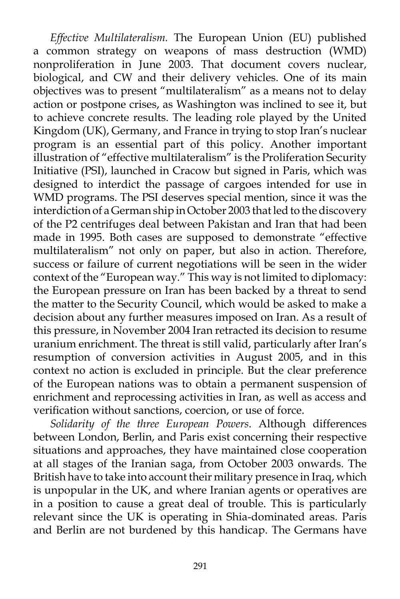*Effective Multilateralism.* The European Union (EU) published a common strategy on weapons of mass destruction (WMD) nonproliferation in June 2003. That document covers nuclear, biological, and CW and their delivery vehicles. One of its main objectives was to present "multilateralism" as a means not to delay action or postpone crises, as Washington was inclined to see it, but to achieve concrete results. The leading role played by the United Kingdom (UK), Germany, and France in trying to stop Iran's nuclear program is an essential part of this policy. Another important illustration of "effective multilateralism" is the Proliferation Security Initiative (PSI), launched in Cracow but signed in Paris, which was designed to interdict the passage of cargoes intended for use in WMD programs. The PSI deserves special mention, since it was the interdiction of a German ship in October 2003 that led to the discovery of the P2 centrifuges deal between Pakistan and Iran that had been made in 1995. Both cases are supposed to demonstrate "effective multilateralism" not only on paper, but also in action. Therefore, success or failure of current negotiations will be seen in the wider context of the "European way." This way is not limited to diplomacy: the European pressure on Iran has been backed by a threat to send the matter to the Security Council, which would be asked to make a decision about any further measures imposed on Iran. As a result of this pressure, in November 2004 Iran retracted its decision to resume uranium enrichment. The threat is still valid, particularly after Iran's resumption of conversion activities in August 2005, and in this context no action is excluded in principle. But the clear preference of the European nations was to obtain a permanent suspension of enrichment and reprocessing activities in Iran, as well as access and verification without sanctions, coercion, or use of force.

*Solidarity of the three European Powers*. Although differences between London, Berlin, and Paris exist concerning their respective situations and approaches, they have maintained close cooperation at all stages of the Iranian saga, from October 2003 onwards. The British have to take into account their military presence in Iraq, which is unpopular in the UK, and where Iranian agents or operatives are in a position to cause a great deal of trouble. This is particularly relevant since the UK is operating in Shia-dominated areas. Paris and Berlin are not burdened by this handicap. The Germans have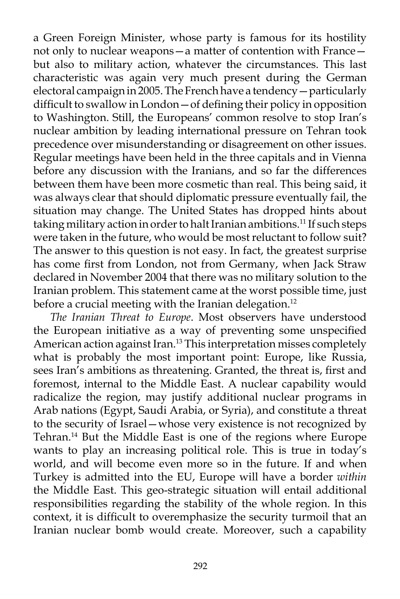a Green Foreign Minister, whose party is famous for its hostility not only to nuclear weapons—a matter of contention with France but also to military action, whatever the circumstances. This last characteristic was again very much present during the German electoral campaign in 2005. The French have a tendency—particularly difficult to swallow in London—of defining their policy in opposition to Washington. Still, the Europeans' common resolve to stop Iran's nuclear ambition by leading international pressure on Tehran took precedence over misunderstanding or disagreement on other issues. Regular meetings have been held in the three capitals and in Vienna before any discussion with the Iranians, and so far the differences between them have been more cosmetic than real. This being said, it was always clear that should diplomatic pressure eventually fail, the situation may change. The United States has dropped hints about taking military action in order to halt Iranian ambitions.<sup>11</sup> If such steps were taken in the future, who would be most reluctant to follow suit? The answer to this question is not easy. In fact, the greatest surprise has come first from London, not from Germany, when Jack Straw declared in November 2004 that there was no military solution to the Iranian problem. This statement came at the worst possible time, just before a crucial meeting with the Iranian delegation.<sup>12</sup>

*The Iranian Threat to Europe*. Most observers have understood the European initiative as a way of preventing some unspecified American action against Iran.13 This interpretation misses completely what is probably the most important point: Europe, like Russia, sees Iran's ambitions as threatening. Granted, the threat is, first and foremost, internal to the Middle East. A nuclear capability would radicalize the region, may justify additional nuclear programs in Arab nations (Egypt, Saudi Arabia, or Syria), and constitute a threat to the security of Israel—whose very existence is not recognized by Tehran.14 But the Middle East is one of the regions where Europe wants to play an increasing political role. This is true in today's world, and will become even more so in the future. If and when Turkey is admitted into the EU, Europe will have a border *within* the Middle East. This geo-strategic situation will entail additional responsibilities regarding the stability of the whole region. In this context, it is difficult to overemphasize the security turmoil that an Iranian nuclear bomb would create. Moreover, such a capability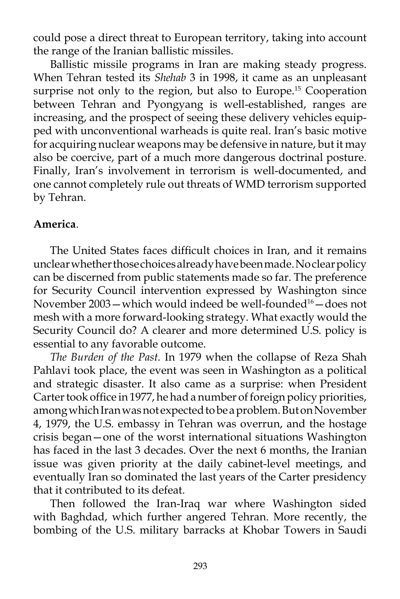could pose a direct threat to European territory, taking into account the range of the Iranian ballistic missiles.

 Ballistic missile programs in Iran are making steady progress. When Tehran tested its *Shehab* 3 in 1998, it came as an unpleasant surprise not only to the region, but also to Europe.<sup>15</sup> Cooperation between Tehran and Pyongyang is well-established, ranges are increasing, and the prospect of seeing these delivery vehicles equipped with unconventional warheads is quite real. Iran's basic motive for acquiring nuclear weapons may be defensive in nature, but it may also be coercive, part of a much more dangerous doctrinal posture. Finally, Iran's involvement in terrorism is well-documented, and one cannot completely rule out threats of WMD terrorism supported by Tehran.

## **America**.

 The United States faces difficult choices in Iran, and it remains unclear whether those choices already have been made. No clear policy can be discerned from public statements made so far. The preference for Security Council intervention expressed by Washington since November 2003—which would indeed be well-founded16—does not mesh with a more forward-looking strategy. What exactly would the Security Council do? A clearer and more determined U.S. policy is essential to any favorable outcome.

*The Burden of the Past.* In 1979 when the collapse of Reza Shah Pahlavi took place, the event was seen in Washington as a political and strategic disaster. It also came as a surprise: when President Carter took office in 1977, he had a number of foreign policy priorities, among which Iran was not expected to be a problem. But on November 4, 1979, the U.S. embassy in Tehran was overrun, and the hostage crisis began—one of the worst international situations Washington has faced in the last 3 decades. Over the next 6 months, the Iranian issue was given priority at the daily cabinet-level meetings, and eventually Iran so dominated the last years of the Carter presidency that it contributed to its defeat.

 Then followed the Iran-Iraq war where Washington sided with Baghdad, which further angered Tehran. More recently, the bombing of the U.S. military barracks at Khobar Towers in Saudi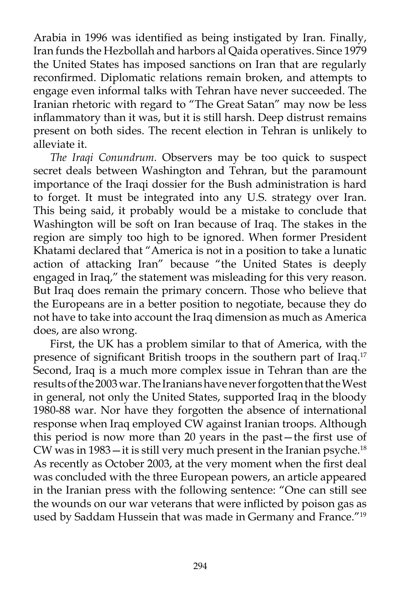Arabia in 1996 was identified as being instigated by Iran. Finally, Iran funds the Hezbollah and harbors al Qaida operatives. Since 1979 the United States has imposed sanctions on Iran that are regularly reconfirmed. Diplomatic relations remain broken, and attempts to engage even informal talks with Tehran have never succeeded. The Iranian rhetoric with regard to "The Great Satan" may now be less inflammatory than it was, but it is still harsh. Deep distrust remains present on both sides. The recent election in Tehran is unlikely to alleviate it.

*The Iraqi Conundrum.* Observers may be too quick to suspect secret deals between Washington and Tehran, but the paramount importance of the Iraqi dossier for the Bush administration is hard to forget. It must be integrated into any U.S. strategy over Iran. This being said, it probably would be a mistake to conclude that Washington will be soft on Iran because of Iraq. The stakes in the region are simply too high to be ignored. When former President Khatami declared that "America is not in a position to take a lunatic action of attacking Iran" because "the United States is deeply engaged in Iraq," the statement was misleading for this very reason. But Iraq does remain the primary concern. Those who believe that the Europeans are in a better position to negotiate, because they do not have to take into account the Iraq dimension as much as America does, are also wrong.

 First, the UK has a problem similar to that of America, with the presence of significant British troops in the southern part of Iraq.17 Second, Iraq is a much more complex issue in Tehran than are the results of the 2003 war. The Iranians have never forgotten that the West in general, not only the United States, supported Iraq in the bloody 1980-88 war. Nor have they forgotten the absence of international response when Iraq employed CW against Iranian troops. Although this period is now more than 20 years in the past—the first use of CW was in  $1983$  - it is still very much present in the Iranian psyche.<sup>18</sup> As recently as October 2003, at the very moment when the first deal was concluded with the three European powers, an article appeared in the Iranian press with the following sentence: "One can still see the wounds on our war veterans that were inflicted by poison gas as used by Saddam Hussein that was made in Germany and France."<sup>19</sup>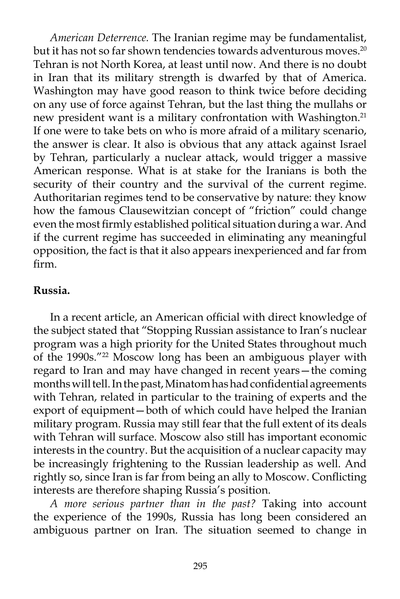*American Deterrence.* The Iranian regime may be fundamentalist, but it has not so far shown tendencies towards adventurous moves.<sup>20</sup> Tehran is not North Korea, at least until now. And there is no doubt in Iran that its military strength is dwarfed by that of America. Washington may have good reason to think twice before deciding on any use of force against Tehran, but the last thing the mullahs or new president want is a military confrontation with Washington.<sup>21</sup> If one were to take bets on who is more afraid of a military scenario, the answer is clear. It also is obvious that any attack against Israel by Tehran, particularly a nuclear attack, would trigger a massive American response. What is at stake for the Iranians is both the security of their country and the survival of the current regime. Authoritarian regimes tend to be conservative by nature: they know how the famous Clausewitzian concept of "friction" could change even the most firmly established political situation during a war. And if the current regime has succeeded in eliminating any meaningful opposition, the fact is that it also appears inexperienced and far from firm.

## **Russia.**

 In a recent article, an American official with direct knowledge of the subject stated that "Stopping Russian assistance to Iran's nuclear program was a high priority for the United States throughout much of the 1990s."22 Moscow long has been an ambiguous player with regard to Iran and may have changed in recent years—the coming months will tell. In the past, Minatom has had confidential agreements with Tehran, related in particular to the training of experts and the export of equipment—both of which could have helped the Iranian military program. Russia may still fear that the full extent of its deals with Tehran will surface. Moscow also still has important economic interests in the country. But the acquisition of a nuclear capacity may be increasingly frightening to the Russian leadership as well. And rightly so, since Iran is far from being an ally to Moscow. Conflicting interests are therefore shaping Russia's position.

*A more serious partner than in the past?* Taking into account the experience of the 1990s, Russia has long been considered an ambiguous partner on Iran. The situation seemed to change in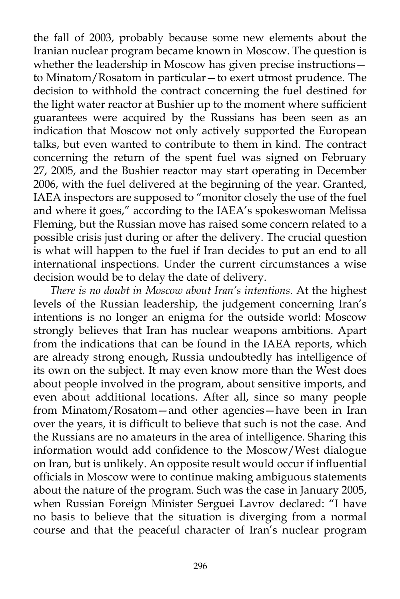the fall of 2003, probably because some new elements about the Iranian nuclear program became known in Moscow. The question is whether the leadership in Moscow has given precise instructionsto Minatom/Rosatom in particular—to exert utmost prudence. The decision to withhold the contract concerning the fuel destined for the light water reactor at Bushier up to the moment where sufficient guarantees were acquired by the Russians has been seen as an indication that Moscow not only actively supported the European talks, but even wanted to contribute to them in kind. The contract concerning the return of the spent fuel was signed on February 27, 2005, and the Bushier reactor may start operating in December 2006, with the fuel delivered at the beginning of the year. Granted, IAEA inspectors are supposed to "monitor closely the use of the fuel and where it goes," according to the IAEA's spokeswoman Melissa Fleming, but the Russian move has raised some concern related to a possible crisis just during or after the delivery. The crucial question is what will happen to the fuel if Iran decides to put an end to all international inspections. Under the current circumstances a wise decision would be to delay the date of delivery.

*There is no doubt in Moscow about Iran's intentions*. At the highest levels of the Russian leadership, the judgement concerning Iran's intentions is no longer an enigma for the outside world: Moscow strongly believes that Iran has nuclear weapons ambitions. Apart from the indications that can be found in the IAEA reports, which are already strong enough, Russia undoubtedly has intelligence of its own on the subject. It may even know more than the West does about people involved in the program, about sensitive imports, and even about additional locations. After all, since so many people from Minatom/Rosatom—and other agencies—have been in Iran over the years, it is difficult to believe that such is not the case. And the Russians are no amateurs in the area of intelligence. Sharing this information would add confidence to the Moscow/West dialogue on Iran, but is unlikely. An opposite result would occur if influential officials in Moscow were to continue making ambiguous statements about the nature of the program. Such was the case in January 2005, when Russian Foreign Minister Serguei Lavrov declared: "I have no basis to believe that the situation is diverging from a normal course and that the peaceful character of Iran's nuclear program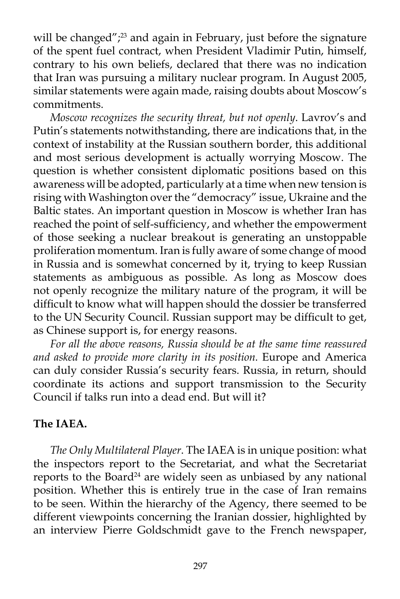will be changed";<sup>23</sup> and again in February, just before the signature of the spent fuel contract, when President Vladimir Putin, himself, contrary to his own beliefs, declared that there was no indication that Iran was pursuing a military nuclear program. In August 2005, similar statements were again made, raising doubts about Moscow's commitments.

*Moscow recognizes the security threat, but not openly*. Lavrov's and Putin's statements notwithstanding, there are indications that, in the context of instability at the Russian southern border, this additional and most serious development is actually worrying Moscow. The question is whether consistent diplomatic positions based on this awareness will be adopted, particularly at a time when new tension is rising with Washington over the "democracy" issue, Ukraine and the Baltic states. An important question in Moscow is whether Iran has reached the point of self-sufficiency, and whether the empowerment of those seeking a nuclear breakout is generating an unstoppable proliferation momentum. Iran is fully aware of some change of mood in Russia and is somewhat concerned by it, trying to keep Russian statements as ambiguous as possible. As long as Moscow does not openly recognize the military nature of the program, it will be difficult to know what will happen should the dossier be transferred to the UN Security Council. Russian support may be difficult to get, as Chinese support is, for energy reasons.

*For all the above reasons, Russia should be at the same time reassured and asked to provide more clarity in its position.* Europe and America can duly consider Russia's security fears. Russia, in return, should coordinate its actions and support transmission to the Security Council if talks run into a dead end. But will it?

# **The IAEA.**

*The Only Multilateral Player*. The IAEA is in unique position: what the inspectors report to the Secretariat, and what the Secretariat reports to the Board<sup>24</sup> are widely seen as unbiased by any national position. Whether this is entirely true in the case of Iran remains to be seen. Within the hierarchy of the Agency, there seemed to be different viewpoints concerning the Iranian dossier, highlighted by an interview Pierre Goldschmidt gave to the French newspaper,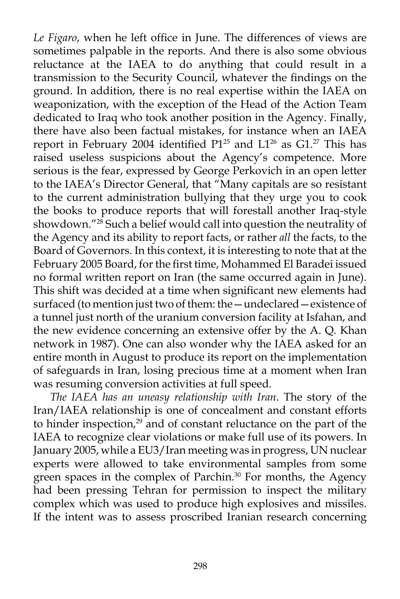*Le Figaro*, when he left office in June. The differences of views are sometimes palpable in the reports. And there is also some obvious reluctance at the IAEA to do anything that could result in a transmission to the Security Council, whatever the findings on the ground. In addition, there is no real expertise within the IAEA on weaponization, with the exception of the Head of the Action Team dedicated to Iraq who took another position in the Agency. Finally, there have also been factual mistakes, for instance when an IAEA report in February 2004 identified  $P1^{25}$  and  $L1^{26}$  as  $G1^{27}$  This has raised useless suspicions about the Agency's competence. More serious is the fear, expressed by George Perkovich in an open letter to the IAEA's Director General, that "Many capitals are so resistant to the current administration bullying that they urge you to cook the books to produce reports that will forestall another Iraq-style showdown."<sup>28</sup> Such a belief would call into question the neutrality of the Agency and its ability to report facts, or rather *all* the facts, to the Board of Governors. In this context, it is interesting to note that at the February 2005 Board, for the first time, Mohammed El Baradei issued no formal written report on Iran (the same occurred again in June). This shift was decided at a time when significant new elements had surfaced (to mention just two of them: the—undeclared—existence of a tunnel just north of the uranium conversion facility at Isfahan, and the new evidence concerning an extensive offer by the A. Q. Khan network in 1987). One can also wonder why the IAEA asked for an entire month in August to produce its report on the implementation of safeguards in Iran, losing precious time at a moment when Iran was resuming conversion activities at full speed.

*The IAEA has an uneasy relationship with Iran*. The story of the Iran/IAEA relationship is one of concealment and constant efforts to hinder inspection,<sup>29</sup> and of constant reluctance on the part of the IAEA to recognize clear violations or make full use of its powers. In January 2005, while a EU3/Iran meeting was in progress, UN nuclear experts were allowed to take environmental samples from some green spaces in the complex of Parchin.<sup>30</sup> For months, the Agency had been pressing Tehran for permission to inspect the military complex which was used to produce high explosives and missiles. If the intent was to assess proscribed Iranian research concerning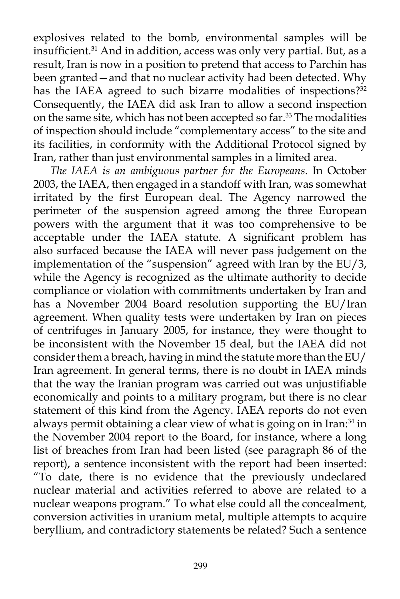explosives related to the bomb, environmental samples will be insufficient.<sup>31</sup> And in addition, access was only very partial. But, as a result, Iran is now in a position to pretend that access to Parchin has been granted—and that no nuclear activity had been detected. Why has the IAEA agreed to such bizarre modalities of inspections?<sup>32</sup> Consequently, the IAEA did ask Iran to allow a second inspection on the same site, which has not been accepted so far.<sup>33</sup> The modalities of inspection should include "complementary access" to the site and its facilities, in conformity with the Additional Protocol signed by Iran, rather than just environmental samples in a limited area.

*The IAEA is an ambiguous partner for the Europeans*. In October 2003, the IAEA, then engaged in a standoff with Iran, was somewhat irritated by the first European deal. The Agency narrowed the perimeter of the suspension agreed among the three European powers with the argument that it was too comprehensive to be acceptable under the IAEA statute. A significant problem has also surfaced because the IAEA will never pass judgement on the implementation of the "suspension" agreed with Iran by the EU/3, while the Agency is recognized as the ultimate authority to decide compliance or violation with commitments undertaken by Iran and has a November 2004 Board resolution supporting the EU/Iran agreement. When quality tests were undertaken by Iran on pieces of centrifuges in January 2005, for instance, they were thought to be inconsistent with the November 15 deal, but the IAEA did not consider them a breach, having in mind the statute more than the EU/ Iran agreement. In general terms, there is no doubt in IAEA minds that the way the Iranian program was carried out was unjustifiable economically and points to a military program, but there is no clear statement of this kind from the Agency. IAEA reports do not even always permit obtaining a clear view of what is going on in Iran.<sup>34</sup> in the November 2004 report to the Board, for instance, where a long list of breaches from Iran had been listed (see paragraph 86 of the report), a sentence inconsistent with the report had been inserted: "To date, there is no evidence that the previously undeclared nuclear material and activities referred to above are related to a nuclear weapons program." To what else could all the concealment, conversion activities in uranium metal, multiple attempts to acquire beryllium, and contradictory statements be related? Such a sentence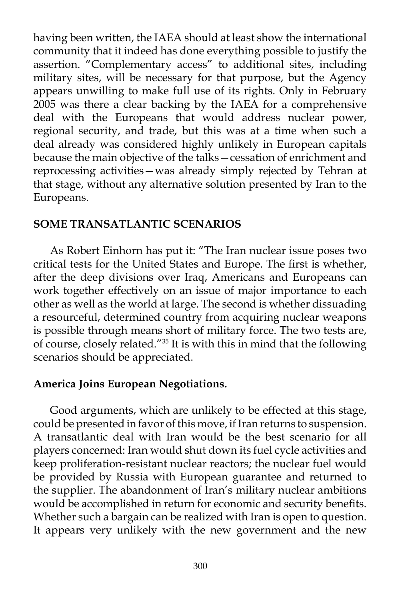having been written, the IAEA should at least show the international community that it indeed has done everything possible to justify the assertion. "Complementary access" to additional sites, including military sites, will be necessary for that purpose, but the Agency appears unwilling to make full use of its rights. Only in February 2005 was there a clear backing by the IAEA for a comprehensive deal with the Europeans that would address nuclear power, regional security, and trade, but this was at a time when such a deal already was considered highly unlikely in European capitals because the main objective of the talks—cessation of enrichment and reprocessing activities—was already simply rejected by Tehran at that stage, without any alternative solution presented by Iran to the Europeans.

## **SOME TRANSATLANTIC SCENARIOS**

 As Robert Einhorn has put it: "The Iran nuclear issue poses two critical tests for the United States and Europe. The first is whether, after the deep divisions over Iraq, Americans and Europeans can work together effectively on an issue of major importance to each other as well as the world at large. The second is whether dissuading a resourceful, determined country from acquiring nuclear weapons is possible through means short of military force. The two tests are, of course, closely related."35 It is with this in mind that the following scenarios should be appreciated.

# **America Joins European Negotiations.**

 Good arguments, which are unlikely to be effected at this stage, could be presented in favor of this move, if Iran returns to suspension. A transatlantic deal with Iran would be the best scenario for all players concerned: Iran would shut down its fuel cycle activities and keep proliferation-resistant nuclear reactors; the nuclear fuel would be provided by Russia with European guarantee and returned to the supplier. The abandonment of Iran's military nuclear ambitions would be accomplished in return for economic and security benefits. Whether such a bargain can be realized with Iran is open to question. It appears very unlikely with the new government and the new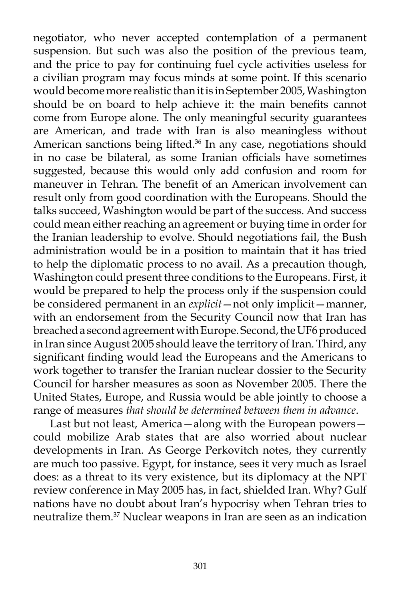negotiator, who never accepted contemplation of a permanent suspension. But such was also the position of the previous team, and the price to pay for continuing fuel cycle activities useless for a civilian program may focus minds at some point. If this scenario would become more realistic than it is in September 2005, Washington should be on board to help achieve it: the main benefits cannot come from Europe alone. The only meaningful security guarantees are American, and trade with Iran is also meaningless without American sanctions being lifted.<sup>36</sup> In any case, negotiations should in no case be bilateral, as some Iranian officials have sometimes suggested, because this would only add confusion and room for maneuver in Tehran. The benefit of an American involvement can result only from good coordination with the Europeans. Should the talks succeed, Washington would be part of the success. And success could mean either reaching an agreement or buying time in order for the Iranian leadership to evolve. Should negotiations fail, the Bush administration would be in a position to maintain that it has tried to help the diplomatic process to no avail. As a precaution though, Washington could present three conditions to the Europeans. First, it would be prepared to help the process only if the suspension could be considered permanent in an *explicit*—not only implicit—manner, with an endorsement from the Security Council now that Iran has breached a second agreement with Europe. Second, the UF6 produced in Iran since August 2005 should leave the territory of Iran. Third, any significant finding would lead the Europeans and the Americans to work together to transfer the Iranian nuclear dossier to the Security Council for harsher measures as soon as November 2005. There the United States, Europe, and Russia would be able jointly to choose a range of measures *that should be determined between them in advance*.

 Last but not least, America—along with the European powers could mobilize Arab states that are also worried about nuclear developments in Iran. As George Perkovitch notes, they currently are much too passive. Egypt, for instance, sees it very much as Israel does: as a threat to its very existence, but its diplomacy at the NPT review conference in May 2005 has, in fact, shielded Iran. Why? Gulf nations have no doubt about Iran's hypocrisy when Tehran tries to neutralize them.37 Nuclear weapons in Iran are seen as an indication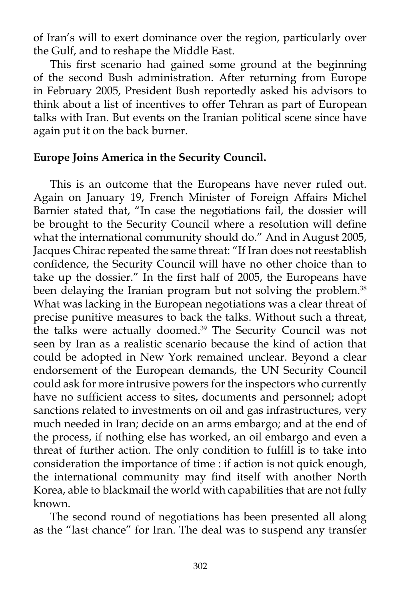of Iran's will to exert dominance over the region, particularly over the Gulf, and to reshape the Middle East.

 This first scenario had gained some ground at the beginning of the second Bush administration. After returning from Europe in February 2005, President Bush reportedly asked his advisors to think about a list of incentives to offer Tehran as part of European talks with Iran. But events on the Iranian political scene since have again put it on the back burner.

### **Europe Joins America in the Security Council.**

 This is an outcome that the Europeans have never ruled out. Again on January 19, French Minister of Foreign Affairs Michel Barnier stated that, "In case the negotiations fail, the dossier will be brought to the Security Council where a resolution will define what the international community should do." And in August 2005, Jacques Chirac repeated the same threat: "If Iran does not reestablish confidence, the Security Council will have no other choice than to take up the dossier." In the first half of 2005, the Europeans have been delaying the Iranian program but not solving the problem.<sup>38</sup> What was lacking in the European negotiations was a clear threat of precise punitive measures to back the talks. Without such a threat, the talks were actually doomed.<sup>39</sup> The Security Council was not seen by Iran as a realistic scenario because the kind of action that could be adopted in New York remained unclear. Beyond a clear endorsement of the European demands, the UN Security Council could ask for more intrusive powers for the inspectors who currently have no sufficient access to sites, documents and personnel; adopt sanctions related to investments on oil and gas infrastructures, very much needed in Iran; decide on an arms embargo; and at the end of the process, if nothing else has worked, an oil embargo and even a threat of further action. The only condition to fulfill is to take into consideration the importance of time : if action is not quick enough, the international community may find itself with another North Korea, able to blackmail the world with capabilities that are not fully known.

 The second round of negotiations has been presented all along as the "last chance" for Iran. The deal was to suspend any transfer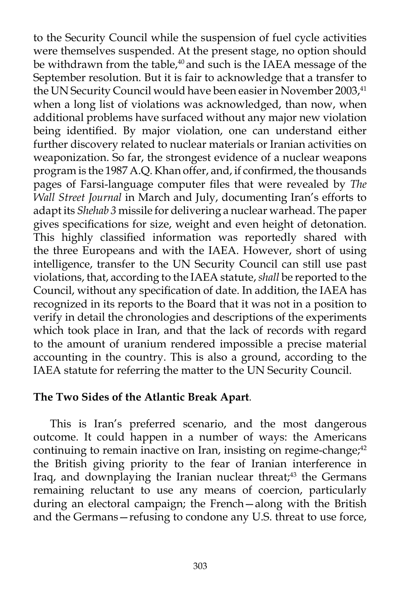to the Security Council while the suspension of fuel cycle activities were themselves suspended. At the present stage, no option should be withdrawn from the table, $40$  and such is the IAEA message of the September resolution. But it is fair to acknowledge that a transfer to the UN Security Council would have been easier in November 2003,<sup>41</sup> when a long list of violations was acknowledged, than now, when additional problems have surfaced without any major new violation being identified. By major violation, one can understand either further discovery related to nuclear materials or Iranian activities on weaponization. So far, the strongest evidence of a nuclear weapons program is the 1987 A.Q. Khan offer, and, if confirmed, the thousands pages of Farsi-language computer files that were revealed by *The Wall Street Journal* in March and July, documenting Iran's efforts to adapt its *Shehab 3* missile for delivering a nuclear warhead. The paper gives specifications for size, weight and even height of detonation. This highly classified information was reportedly shared with the three Europeans and with the IAEA. However, short of using intelligence, transfer to the UN Security Council can still use past violations, that, according to the IAEA statute, *shall* be reported to the Council, without any specification of date. In addition, the IAEA has recognized in its reports to the Board that it was not in a position to verify in detail the chronologies and descriptions of the experiments which took place in Iran, and that the lack of records with regard to the amount of uranium rendered impossible a precise material accounting in the country. This is also a ground, according to the IAEA statute for referring the matter to the UN Security Council.

# **The Two Sides of the Atlantic Break Apart***.*

 This is Iran's preferred scenario, and the most dangerous outcome. It could happen in a number of ways: the Americans continuing to remain inactive on Iran, insisting on regime-change;<sup>42</sup> the British giving priority to the fear of Iranian interference in Iraq, and downplaying the Iranian nuclear threat;<sup>43</sup> the Germans remaining reluctant to use any means of coercion, particularly during an electoral campaign; the French—along with the British and the Germans—refusing to condone any U.S. threat to use force,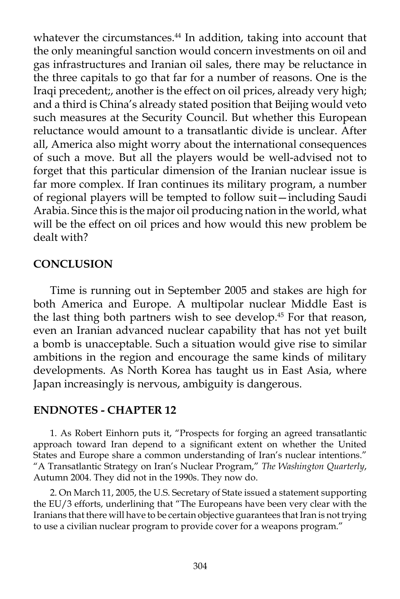whatever the circumstances.<sup>44</sup> In addition, taking into account that the only meaningful sanction would concern investments on oil and gas infrastructures and Iranian oil sales, there may be reluctance in the three capitals to go that far for a number of reasons. One is the Iraqi precedent;, another is the effect on oil prices, already very high; and a third is China's already stated position that Beijing would veto such measures at the Security Council. But whether this European reluctance would amount to a transatlantic divide is unclear. After all, America also might worry about the international consequences of such a move. But all the players would be well-advised not to forget that this particular dimension of the Iranian nuclear issue is far more complex. If Iran continues its military program, a number of regional players will be tempted to follow suit—including Saudi Arabia. Since this is the major oil producing nation in the world, what will be the effect on oil prices and how would this new problem be dealt with?

### **CONCLUSION**

 Time is running out in September 2005 and stakes are high for both America and Europe. A multipolar nuclear Middle East is the last thing both partners wish to see develop.45 For that reason, even an Iranian advanced nuclear capability that has not yet built a bomb is unacceptable. Such a situation would give rise to similar ambitions in the region and encourage the same kinds of military developments. As North Korea has taught us in East Asia, where Japan increasingly is nervous, ambiguity is dangerous.

### **ENDNOTES - CHAPTER 12**

1. As Robert Einhorn puts it, "Prospects for forging an agreed transatlantic approach toward Iran depend to a significant extent on whether the United States and Europe share a common understanding of Iran's nuclear intentions." "A Transatlantic Strategy on Iran's Nuclear Program," *The Washington Quarterly*, Autumn 2004. They did not in the 1990s. They now do.

2. On March 11, 2005, the U.S. Secretary of State issued a statement supporting the EU/3 efforts, underlining that "The Europeans have been very clear with the Iranians that there will have to be certain objective guarantees that Iran is not trying to use a civilian nuclear program to provide cover for a weapons program."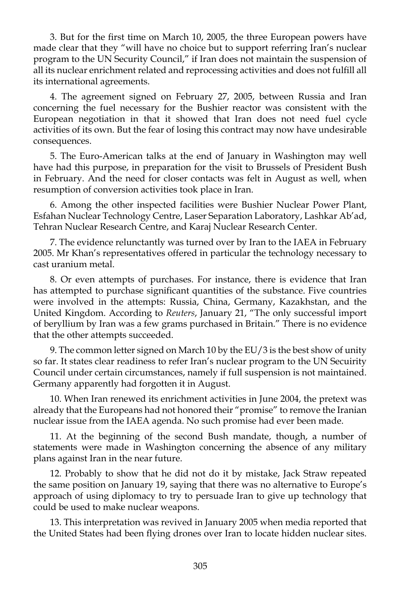3. But for the first time on March 10, 2005, the three European powers have made clear that they "will have no choice but to support referring Iran's nuclear program to the UN Security Council," if Iran does not maintain the suspension of all its nuclear enrichment related and reprocessing activities and does not fulfill all its international agreements.

 4. The agreement signed on February 27, 2005, between Russia and Iran concerning the fuel necessary for the Bushier reactor was consistent with the European negotiation in that it showed that Iran does not need fuel cycle activities of its own. But the fear of losing this contract may now have undesirable consequences.

5. The Euro-American talks at the end of January in Washington may well have had this purpose, in preparation for the visit to Brussels of President Bush in February. And the need for closer contacts was felt in August as well, when resumption of conversion activities took place in Iran.

6. Among the other inspected facilities were Bushier Nuclear Power Plant, Esfahan Nuclear Technology Centre, Laser Separation Laboratory, Lashkar Ab'ad, Tehran Nuclear Research Centre, and Karaj Nuclear Research Center.

7. The evidence relunctantly was turned over by Iran to the IAEA in February 2005. Mr Khan's representatives offered in particular the technology necessary to cast uranium metal.

8. Or even attempts of purchases. For instance, there is evidence that Iran has attempted to purchase significant quantities of the substance. Five countries were involved in the attempts: Russia, China, Germany, Kazakhstan, and the United Kingdom. According to *Reuters*, January 21, "The only successful import of beryllium by Iran was a few grams purchased in Britain." There is no evidence that the other attempts succeeded.

9. The common letter signed on March 10 by the EU/3 is the best show of unity so far. It states clear readiness to refer Iran's nuclear program to the UN Secuirity Council under certain circumstances, namely if full suspension is not maintained. Germany apparently had forgotten it in August.

10. When Iran renewed its enrichment activities in June 2004, the pretext was already that the Europeans had not honored their "promise" to remove the Iranian nuclear issue from the IAEA agenda. No such promise had ever been made.

11. At the beginning of the second Bush mandate, though, a number of statements were made in Washington concerning the absence of any military plans against Iran in the near future.

12. Probably to show that he did not do it by mistake, Jack Straw repeated the same position on January 19, saying that there was no alternative to Europe's approach of using diplomacy to try to persuade Iran to give up technology that could be used to make nuclear weapons.

13. This interpretation was revived in January 2005 when media reported that the United States had been flying drones over Iran to locate hidden nuclear sites.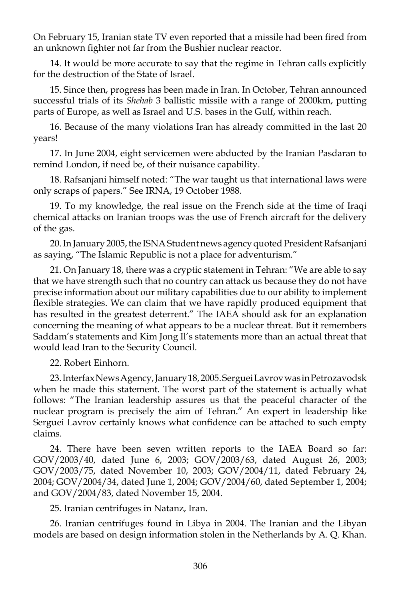On February 15, Iranian state TV even reported that a missile had been fired from an unknown fighter not far from the Bushier nuclear reactor.

14. It would be more accurate to say that the regime in Tehran calls explicitly for the destruction of the State of Israel.

15. Since then, progress has been made in Iran. In October, Tehran announced successful trials of its *Shehab* 3 ballistic missile with a range of 2000km, putting parts of Europe, as well as Israel and U.S. bases in the Gulf, within reach.

16. Because of the many violations Iran has already committed in the last 20 years!

17. In June 2004, eight servicemen were abducted by the Iranian Pasdaran to remind London, if need be, of their nuisance capability.

18. Rafsanjani himself noted: "The war taught us that international laws were only scraps of papers." See IRNA, 19 October 1988.

19. To my knowledge, the real issue on the French side at the time of Iraqi chemical attacks on Iranian troops was the use of French aircraft for the delivery of the gas.

20. In January 2005, the ISNA Student news agency quoted President Rafsanjani as saying, "The Islamic Republic is not a place for adventurism."

21. On January 18, there was a cryptic statement in Tehran: "We are able to say that we have strength such that no country can attack us because they do not have precise information about our military capabilities due to our ability to implement flexible strategies. We can claim that we have rapidly produced equipment that has resulted in the greatest deterrent." The IAEA should ask for an explanation concerning the meaning of what appears to be a nuclear threat. But it remembers Saddam's statements and Kim Jong Il's statements more than an actual threat that would lead Iran to the Security Council.

22. Robert Einhorn.

23. Interfax News Agency, January 18, 2005. Serguei Lavrov was in Petrozavodsk when he made this statement. The worst part of the statement is actually what follows: "The Iranian leadership assures us that the peaceful character of the nuclear program is precisely the aim of Tehran." An expert in leadership like Serguei Lavrov certainly knows what confidence can be attached to such empty claims.

24. There have been seven written reports to the IAEA Board so far: GOV/2003/40, dated June 6, 2003; GOV/2003/63, dated August 26, 2003; GOV/2003/75, dated November 10, 2003; GOV/2004/11, dated February 24, 2004; GOV/2004/34, dated June 1, 2004; GOV/2004/60, dated September 1, 2004; and GOV/2004/83, dated November 15, 2004.

25. Iranian centrifuges in Natanz, Iran.

26. Iranian centrifuges found in Libya in 2004. The Iranian and the Libyan models are based on design information stolen in the Netherlands by A. Q. Khan.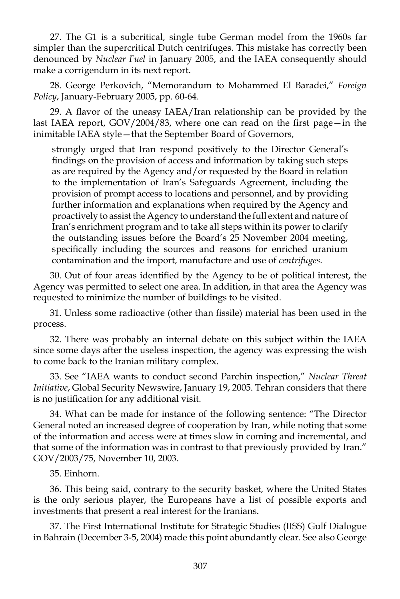27. The G1 is a subcritical, single tube German model from the 1960s far simpler than the supercritical Dutch centrifuges. This mistake has correctly been denounced by *Nuclear Fuel* in January 2005, and the IAEA consequently should make a corrigendum in its next report.

28. George Perkovich, "Memorandum to Mohammed El Baradei," *Foreign Policy*, January-February 2005, pp. 60-64.

29. A flavor of the uneasy IAEA/Iran relationship can be provided by the last IAEA report, GOV/2004/83, where one can read on the first page—in the inimitable IAEA style—that the September Board of Governors,

strongly urged that Iran respond positively to the Director General's findings on the provision of access and information by taking such steps as are required by the Agency and/or requested by the Board in relation to the implementation of Iran's Safeguards Agreement, including the provision of prompt access to locations and personnel, and by providing further information and explanations when required by the Agency and proactively to assist the Agency to understand the full extent and nature of Iran's enrichment program and to take all steps within its power to clarify the outstanding issues before the Board's 25 November 2004 meeting, specifically including the sources and reasons for enriched uranium contamination and the import, manufacture and use of *centrifuges.*

30. Out of four areas identified by the Agency to be of political interest, the Agency was permitted to select one area. In addition, in that area the Agency was requested to minimize the number of buildings to be visited.

31. Unless some radioactive (other than fissile) material has been used in the process.

32. There was probably an internal debate on this subject within the IAEA since some days after the useless inspection, the agency was expressing the wish to come back to the Iranian military complex.

33. See "IAEA wants to conduct second Parchin inspection," *Nuclear Threat Initiative*, Global Security Newswire, January 19, 2005. Tehran considers that there is no justification for any additional visit.

34. What can be made for instance of the following sentence: "The Director General noted an increased degree of cooperation by Iran, while noting that some of the information and access were at times slow in coming and incremental, and that some of the information was in contrast to that previously provided by Iran." GOV/2003/75, November 10, 2003.

35. Einhorn.

36. This being said, contrary to the security basket, where the United States is the only serious player, the Europeans have a list of possible exports and investments that present a real interest for the Iranians.

37. The First International Institute for Strategic Studies (IISS) Gulf Dialogue in Bahrain (December 3-5, 2004) made this point abundantly clear. See also George